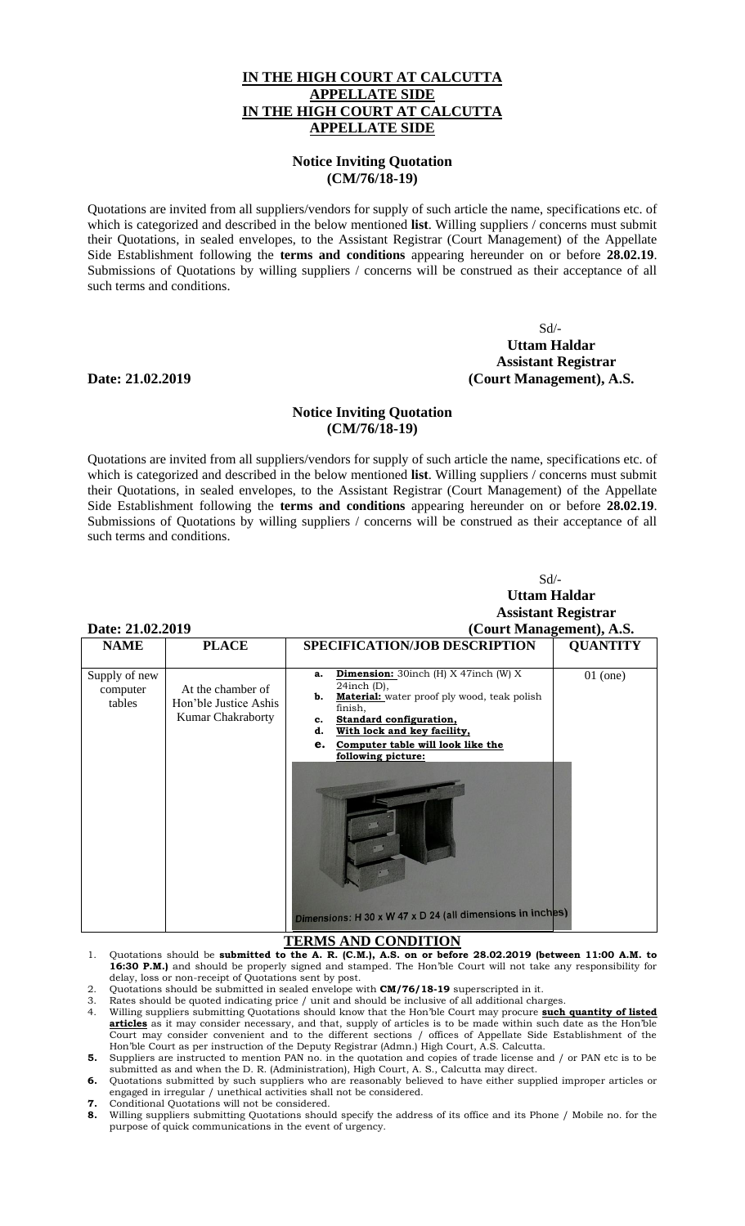## **IN THE HIGH COURT AT CALCUTTA APPELLATE SIDE IN THE HIGH COURT AT CALCUTTA APPELLATE SIDE**

## **Notice Inviting Quotation (CM/76/18-19)**

Quotations are invited from all suppliers/vendors for supply of such article the name, specifications etc. of which is categorized and described in the below mentioned **list**. Willing suppliers / concerns must submit their Quotations, in sealed envelopes, to the Assistant Registrar (Court Management) of the Appellate Side Establishment following the **terms and conditions** appearing hereunder on or before **28.02.19**. Submissions of Quotations by willing suppliers / concerns will be construed as their acceptance of all such terms and conditions.

 Sd/- **Uttam Haldar Assistant Registrar Date: 21.02.2019 (Court Management), A.S.**

### **Notice Inviting Quotation (CM/76/18-19)**

Quotations are invited from all suppliers/vendors for supply of such article the name, specifications etc. of which is categorized and described in the below mentioned **list**. Willing suppliers / concerns must submit their Quotations, in sealed envelopes, to the Assistant Registrar (Court Management) of the Appellate Side Establishment following the **terms and conditions** appearing hereunder on or before **28.02.19**. Submissions of Quotations by willing suppliers / concerns will be construed as their acceptance of all such terms and conditions.

| Date: 21.02.2019<br><b>NAME</b><br><b>PLACE</b> |                                                                 | Sd<br><b>Uttam Haldar</b><br><b>Assistant Registrar</b><br>(Court Management), A.S.<br>SPECIFICATION/JOB DESCRIPTION<br><b>QUANTITY</b>                                                                                                                                                                                                                                          |            |
|-------------------------------------------------|-----------------------------------------------------------------|----------------------------------------------------------------------------------------------------------------------------------------------------------------------------------------------------------------------------------------------------------------------------------------------------------------------------------------------------------------------------------|------------|
| Supply of new<br>computer<br>tables             | At the chamber of<br>Hon'ble Justice Ashis<br>Kumar Chakraborty | <b>Dimension:</b> 30inch (H) $X$ 47inch (W) $X$<br>a.<br>$24$ inch (D),<br><b>Material:</b> water proof ply wood, teak polish<br>b.<br>finish,<br><b>Standard configuration,</b><br>c.<br>With lock and key facility,<br>d.<br>Computer table will look like the<br>e.<br>following picture:<br>Dimensions: H 30 x W 47 x D 24 (all dimensions in inches)<br>TERMS AND CONDITION | $01$ (one) |

# **TERMS AND CONDITION**

- 1. Quotations should be **submitted to the A. R. (C.M.), A.S. on or before 28.02.2019 (between 11:00 A.M. to 16:30 P.M.)** and should be properly signed and stamped. The Hon'ble Court will not take any responsibility for delay, loss or non-receipt of Quotations sent by post.
- 2. Quotations should be submitted in sealed envelope with **CM/76/18-19** superscripted in it.
- Rates should be quoted indicating price / unit and should be inclusive of all additional charges 4. Willing suppliers submitting Quotations should know that the Hon'ble Court may procure **such quantity of listed articles** as it may consider necessary, and that, supply of articles is to be made within such date as the Hon'ble Court may consider convenient and to the different sections / offices of Appellate Side Establishment of the Hon'ble Court as per instruction of the Deputy Registrar (Admn.) High Court, A.S. Calcutta.
- **5.** Suppliers are instructed to mention PAN no. in the quotation and copies of trade license and / or PAN etc is to be submitted as and when the D. R. (Administration), High Court, A. S., Calcutta may direct.
- **6.** Quotations submitted by such suppliers who are reasonably believed to have either supplied improper articles or engaged in irregular / unethical activities shall not be considered.
- **7.** Conditional Quotations will not be considered.
- **8.** Willing suppliers submitting Quotations should specify the address of its office and its Phone / Mobile no. for the purpose of quick communications in the event of urgency.